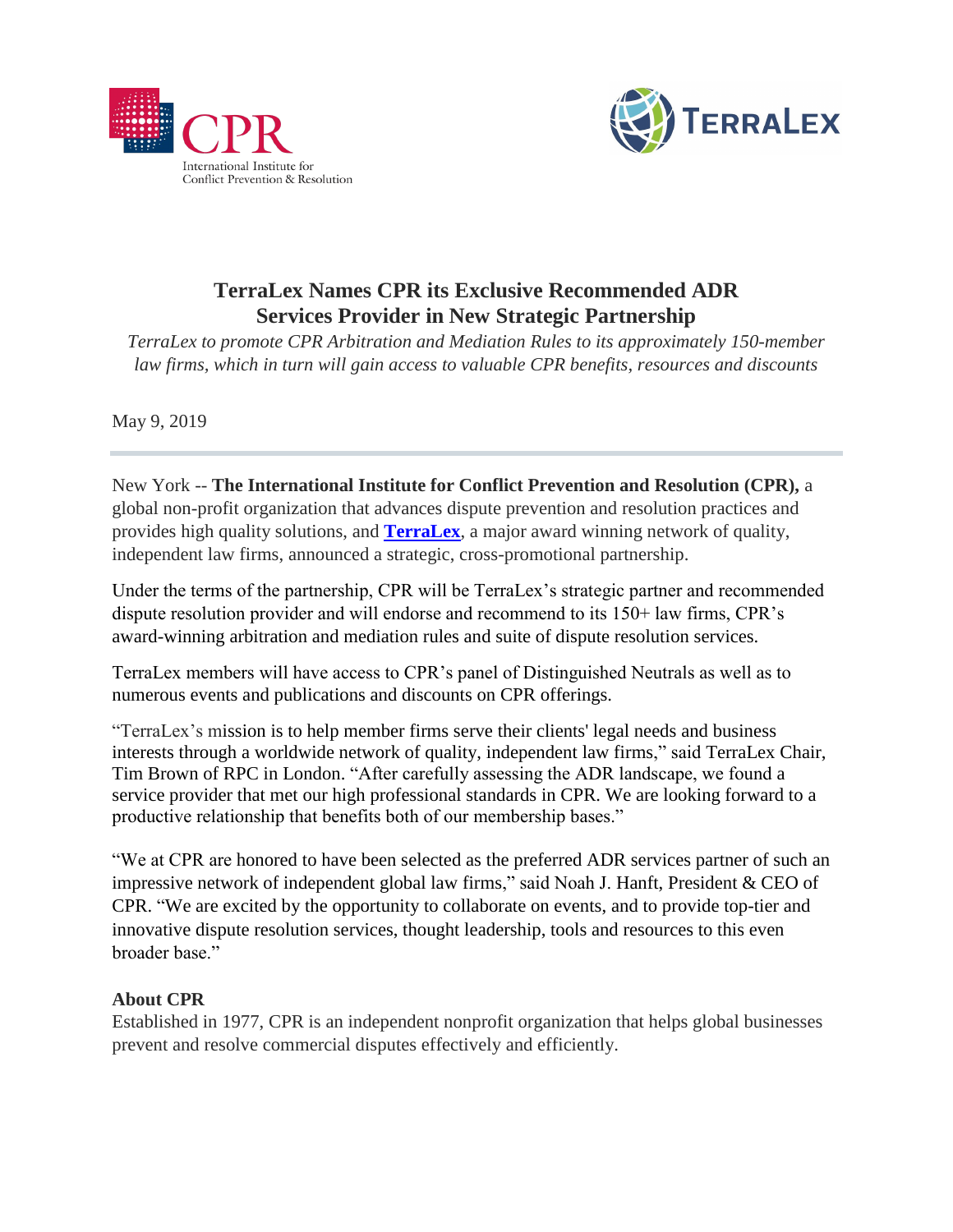



## **TerraLex Names CPR its Exclusive Recommended ADR Services Provider in New Strategic Partnership**

*TerraLex to promote CPR Arbitration and Mediation Rules to its approximately 150-member law firms, which in turn will gain access to valuable CPR benefits, resources and discounts*

May 9, 2019

New York -- **The International Institute for Conflict Prevention and Resolution (CPR),** a global non-profit organization that advances dispute prevention and resolution practices and provides high quality solutions, and **[TerraLex](http://www.terralex.org/)**, a major award winning network of quality, independent law firms, announced a strategic, cross-promotional partnership.

Under the terms of the partnership, CPR will be TerraLex's strategic partner and recommended dispute resolution provider and will endorse and recommend to its 150+ law firms, CPR's award-winning arbitration and mediation rules and suite of dispute resolution services.

TerraLex members will have access to CPR's panel of Distinguished Neutrals as well as to numerous events and publications and discounts on CPR offerings.

"TerraLex's mission is to help member firms serve their clients' legal needs and business interests through a worldwide network of quality, independent law firms," said TerraLex Chair, Tim Brown of RPC in London. "After carefully assessing the ADR landscape, we found a service provider that met our high professional standards in CPR. We are looking forward to a productive relationship that benefits both of our membership bases."

"We at CPR are honored to have been selected as the preferred ADR services partner of such an impressive network of independent global law firms," said Noah J. Hanft, President & CEO of CPR. "We are excited by the opportunity to collaborate on events, and to provide top-tier and innovative dispute resolution services, thought leadership, tools and resources to this even broader base."

## **About CPR**

Established in 1977, CPR is an independent nonprofit organization that helps global businesses prevent and resolve commercial disputes effectively and efficiently.